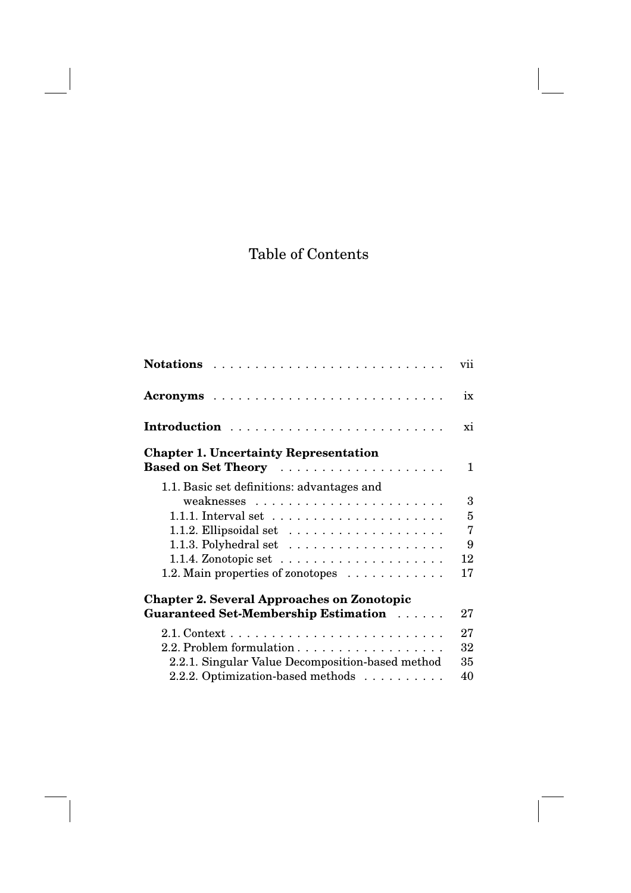## Table of Contents

|                                                                  | vii            |
|------------------------------------------------------------------|----------------|
|                                                                  | ix             |
| Introduction                                                     | xi             |
| <b>Chapter 1. Uncertainty Representation</b>                     |                |
|                                                                  | 1              |
| 1.1. Basic set definitions: advantages and                       |                |
|                                                                  | 3              |
| 1.1.1. Interval set $\dots \dots \dots \dots \dots \dots \dots$  | 5              |
| 1.1.2. Ellipsoidal set $\dots \dots \dots \dots \dots \dots$     | $\overline{7}$ |
| 1.1.3. Polyhedral set $\dots \dots \dots \dots \dots \dots$      | 9              |
| 1.1.4. Zonotopic set $\ldots \ldots \ldots \ldots \ldots \ldots$ | 12             |
| 1.2. Main properties of zonotopes                                | 17             |
| <b>Chapter 2. Several Approaches on Zonotopic</b>                |                |
| Guaranteed Set-Membership Estimation                             | 27             |
|                                                                  | 27             |
| 2.2. Problem formulation                                         | 32             |
| 2.2.1. Singular Value Decomposition-based method                 | 35             |
| 2.2.2. Optimization-based methods                                | 40             |